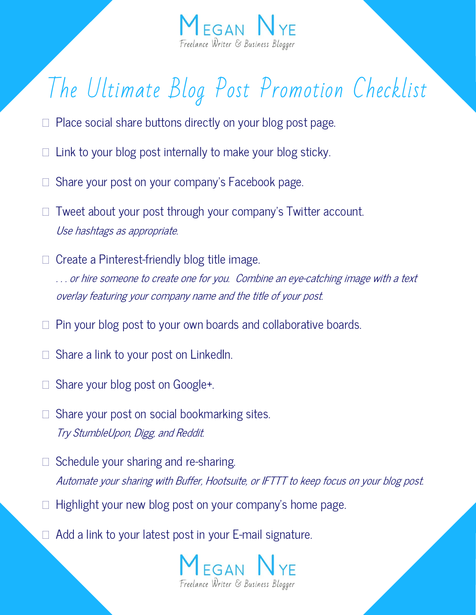

## The Ultimate Blog Post Promotion Checklist

- $\Box$  Place social share buttons directly on your blog post page.
- Link to your blog post internally to make your blog sticky.
- Share your post on your company's Facebook page.
- $\Box$  Tweet about your post through your company's Twitter account. Use hashtags as appropriate.
- $\Box$  Create a Pinterest-friendly blog title image. ... or hire someone to create one for you. Combine an eye-catching image with a text overlay featuring your company name and the title of your post.
- $\Box$  Pin your blog post to your own boards and collaborative boards.
- Share a link to your post on LinkedIn.
- $\Box$  Share your blog post on Google+.
- $\Box$  Share your post on social bookmarking sites. Try StumbleUpon, Digg, and Reddit.
- $\Box$  Schedule your sharing and re-sharing. Automate your sharing with Buffer, Hootsuite, or IFTTT to keep focus on your blog post.
- Highlight your new blog post on your company's home page.
- $\Box$  Add a link to your latest post in your E-mail signature.